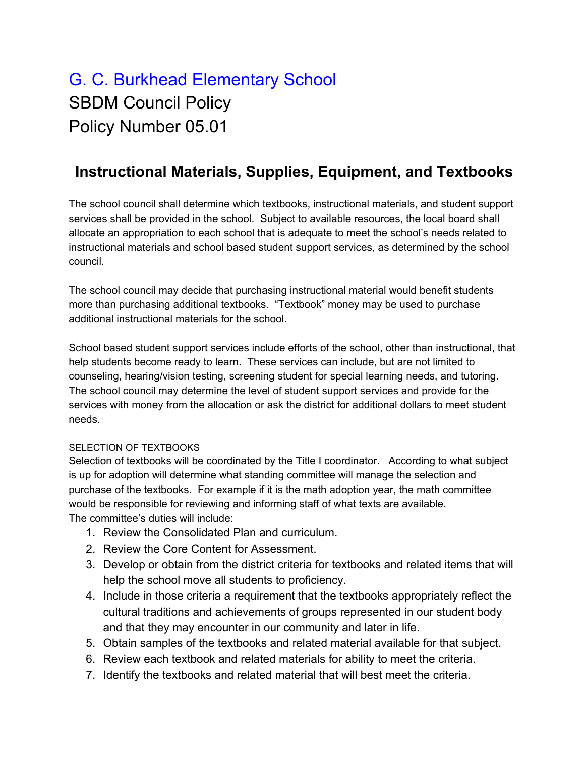## G. C. Burkhead Elementary School SBDM Council Policy Policy Number 05.01

## **Instructional Materials, Supplies, Equipment, and Textbooks**

The school council shall determine which textbooks, instructional materials, and student support services shall be provided in the school. Subject to available resources, the local board shall allocate an appropriation to each school that is adequate to meet the school's needs related to instructional materials and school based student support services, as determined by the school council.

The school council may decide that purchasing instructional material would benefit students more than purchasing additional textbooks. "Textbook" money may be used to purchase additional instructional materials for the school.

School based student support services include efforts of the school, other than instructional, that help students become ready to learn. These services can include, but are not limited to counseling, hearing/vision testing, screening student for special learning needs, and tutoring. The school council may determine the level of student support services and provide for the services with money from the allocation or ask the district for additional dollars to meet student needs.

## SELECTION OF TEXTBOOKS

Selection of textbooks will be coordinated by the Title I coordinator. According to what subject is up for adoption will determine what standing committee will manage the selection and purchase of the textbooks. For example if it is the math adoption year, the math committee would be responsible for reviewing and informing staff of what texts are available. The committee's duties will include:

- 1. Review the Consolidated Plan and curriculum.
- 2. Review the Core Content for Assessment.
- 3. Develop or obtain from the district criteria for textbooks and related items that will help the school move all students to proficiency.
- 4. Include in those criteria a requirement that the textbooks appropriately reflect the cultural traditions and achievements of groups represented in our student body and that they may encounter in our community and later in life.
- 5. Obtain samples of the textbooks and related material available for that subject.
- 6. Review each textbook and related materials for ability to meet the criteria.
- 7. Identify the textbooks and related material that will best meet the criteria.